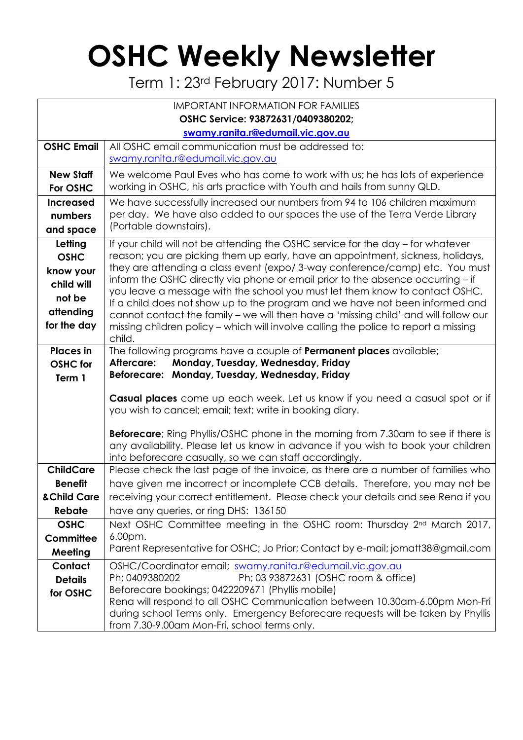## **OSHC Weekly Newsletter**

Term 1: 23rd February 2017: Number 5

| <b>IMPORTANT INFORMATION FOR FAMILIES</b> |                                                                                                                                                                    |  |  |  |  |  |
|-------------------------------------------|--------------------------------------------------------------------------------------------------------------------------------------------------------------------|--|--|--|--|--|
| OSHC Service: 93872631/0409380202;        |                                                                                                                                                                    |  |  |  |  |  |
| swamy.ranita.r@edumail.vic.gov.au         |                                                                                                                                                                    |  |  |  |  |  |
| <b>OSHC Email</b>                         | All OSHC email communication must be addressed to:<br>swamy.ranita.r@edumail.vic.gov.au                                                                            |  |  |  |  |  |
| <b>New Staff</b>                          | We welcome Paul Eves who has come to work with us; he has lots of experience                                                                                       |  |  |  |  |  |
| For OSHC                                  | working in OSHC, his arts practice with Youth and hails from sunny QLD.                                                                                            |  |  |  |  |  |
| <b>Increased</b>                          | We have successfully increased our numbers from 94 to 106 children maximum                                                                                         |  |  |  |  |  |
| numbers                                   | per day. We have also added to our spaces the use of the Terra Verde Library<br>(Portable downstairs).                                                             |  |  |  |  |  |
| and space                                 |                                                                                                                                                                    |  |  |  |  |  |
| Letting                                   | If your child will not be attending the OSHC service for the day – for whatever<br>reason; you are picking them up early, have an appointment, sickness, holidays, |  |  |  |  |  |
| <b>OSHC</b>                               | they are attending a class event (expo/3-way conference/camp) etc. You must                                                                                        |  |  |  |  |  |
| know your<br>child will                   | inform the OSHC directly via phone or email prior to the absence occurring - if                                                                                    |  |  |  |  |  |
| not be                                    | you leave a message with the school you must let them know to contact OSHC.                                                                                        |  |  |  |  |  |
| attending                                 | If a child does not show up to the program and we have not been informed and                                                                                       |  |  |  |  |  |
| for the day                               | cannot contact the family - we will then have a 'missing child' and will follow our                                                                                |  |  |  |  |  |
|                                           | missing children policy - which will involve calling the police to report a missing<br>child.                                                                      |  |  |  |  |  |
| <b>Places</b> in                          | The following programs have a couple of <b>Permanent places</b> available;                                                                                         |  |  |  |  |  |
| <b>OSHC</b> for                           | Monday, Tuesday, Wednesday, Friday<br>Aftercare:                                                                                                                   |  |  |  |  |  |
| Term 1                                    | Beforecare: Monday, Tuesday, Wednesday, Friday                                                                                                                     |  |  |  |  |  |
|                                           | Casual places come up each week. Let us know if you need a casual spot or if                                                                                       |  |  |  |  |  |
|                                           | you wish to cancel; email; text; write in booking diary.                                                                                                           |  |  |  |  |  |
|                                           | <b>Beforecare</b> ; Ring Phyllis/OSHC phone in the morning from 7.30am to see if there is                                                                          |  |  |  |  |  |
|                                           | any availability. Please let us know in advance if you wish to book your children                                                                                  |  |  |  |  |  |
|                                           | into beforecare casually, so we can staff accordingly.                                                                                                             |  |  |  |  |  |
| <b>ChildCare</b>                          | Please check the last page of the invoice, as there are a number of families who                                                                                   |  |  |  |  |  |
| <b>Benefit</b>                            | have given me incorrect or incomplete CCB details. Therefore, you may not be                                                                                       |  |  |  |  |  |
| & Child Care                              | receiving your correct entitlement. Please check your details and see Rena if you                                                                                  |  |  |  |  |  |
| Rebate<br><b>OSHC</b>                     | have any queries, or ring DHS: 136150<br>Next OSHC Committee meeting in the OSHC room: Thursday 2 <sup>nd</sup> March 2017,                                        |  |  |  |  |  |
| Committee                                 | 6.00pm.                                                                                                                                                            |  |  |  |  |  |
| Meeting                                   | Parent Representative for OSHC; Jo Prior; Contact by e-mail; jomatt38@gmail.com                                                                                    |  |  |  |  |  |
| Contact                                   | OSHC/Coordinator email; swamy.ranita.r@edumail.vic.gov.au                                                                                                          |  |  |  |  |  |
| <b>Details</b>                            | Ph; 0409380202<br>Ph; 03 93872631 (OSHC room & office)                                                                                                             |  |  |  |  |  |
| for OSHC                                  | Beforecare bookings; 0422209671 (Phyllis mobile)                                                                                                                   |  |  |  |  |  |
|                                           | Rena will respond to all OSHC Communication between 10.30am-6.00pm Mon-Fri                                                                                         |  |  |  |  |  |
|                                           | during school Terms only. Emergency Beforecare requests will be taken by Phyllis<br>from 7.30-9.00am Mon-Fri, school terms only.                                   |  |  |  |  |  |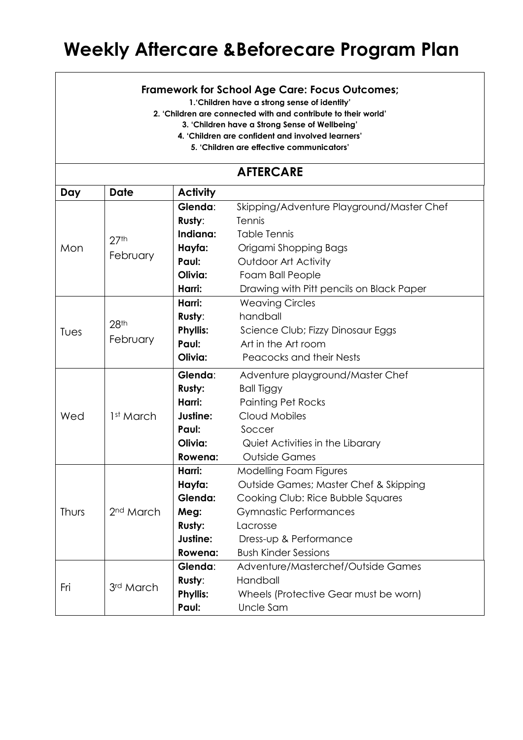## **Weekly Aftercare &Beforecare Program Plan**

## **Framework for School Age Care: Focus Outcomes;**

**1.'Children have a strong sense of identity'**

**2. 'Children are connected with and contribute to their world'**

**3. 'Children have a Strong Sense of Wellbeing'**

**4. 'Children are confident and involved learners'**

**5. 'Children are effective communicators'**

## **AFTERCARE**

| Day   | <b>Date</b>                  | <b>Activity</b> |                                           |  |  |
|-------|------------------------------|-----------------|-------------------------------------------|--|--|
| Mon   | 27 <sup>th</sup><br>February | Glenda:         | Skipping/Adventure Playground/Master Chef |  |  |
|       |                              | Rusty:          | Tennis                                    |  |  |
|       |                              | Indiana:        | <b>Table Tennis</b>                       |  |  |
|       |                              | Hayfa:          | Origami Shopping Bags                     |  |  |
|       |                              | Paul:           | Outdoor Art Activity                      |  |  |
|       |                              | Olivia:         | Foam Ball People                          |  |  |
|       |                              | Harri:          | Drawing with Pitt pencils on Black Paper  |  |  |
| Tues  | 28th<br>February             | Harri:          | <b>Weaving Circles</b>                    |  |  |
|       |                              | Rusty:          | handball                                  |  |  |
|       |                              | <b>Phyllis:</b> | Science Club; Fizzy Dinosaur Eggs         |  |  |
|       |                              | Paul:           | Art in the Art room                       |  |  |
|       |                              | Olivia:         | Peacocks and their Nests                  |  |  |
| Wed   | 1st March                    | Glenda:         | Adventure playground/Master Chef          |  |  |
|       |                              | Rusty:          | <b>Ball Tiggy</b>                         |  |  |
|       |                              | Harri:          | <b>Painting Pet Rocks</b>                 |  |  |
|       |                              | Justine:        | Cloud Mobiles                             |  |  |
|       |                              | Paul:           | Soccer                                    |  |  |
|       |                              | Olivia:         | Quiet Activities in the Libarary          |  |  |
|       |                              | Rowena:         | <b>Outside Games</b>                      |  |  |
| Thurs | 2 <sup>nd</sup> March        | Harri:          | Modelling Foam Figures                    |  |  |
|       |                              | Hayfa:          | Outside Games; Master Chef & Skipping     |  |  |
|       |                              | Glenda:         | Cooking Club: Rice Bubble Squares         |  |  |
|       |                              | Meg:            | <b>Gymnastic Performances</b>             |  |  |
|       |                              | <b>Rusty:</b>   | Lacrosse                                  |  |  |
|       |                              | Justine:        | Dress-up & Performance                    |  |  |
|       |                              | Rowena:         | <b>Bush Kinder Sessions</b>               |  |  |
| Fri   | 3rd March                    | Glenda:         | Adventure/Masterchef/Outside Games        |  |  |
|       |                              | Rusty:          | Handball                                  |  |  |
|       |                              | <b>Phyllis:</b> | Wheels (Protective Gear must be worn)     |  |  |
|       |                              | Paul:           | Uncle Sam                                 |  |  |